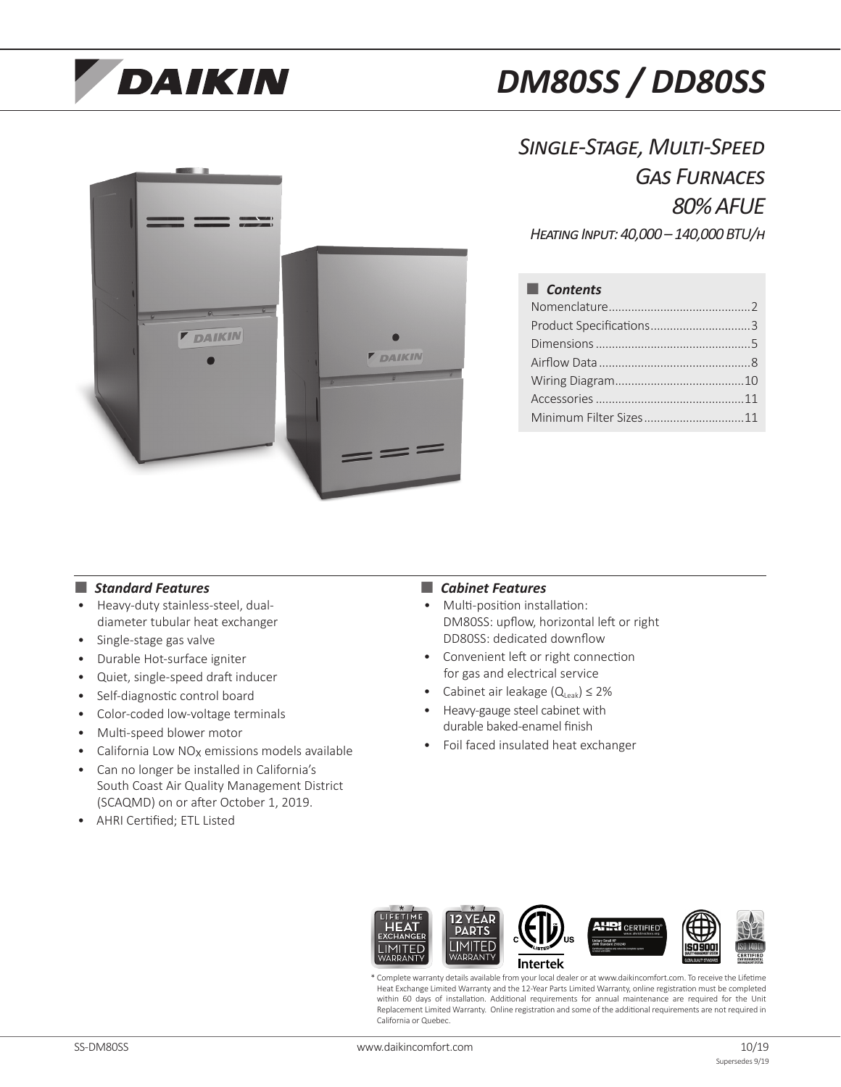# **DAIKIN**

# *DM80SS / DD80SS*

*Single-Stage, Multi-Speed Gas Furnaces 80% AFUE Heating Input: 40,000 – 140,000 BTU/h*



# ■ *Contents*

| Product Specifications3 |  |
|-------------------------|--|
|                         |  |
|                         |  |
|                         |  |
|                         |  |
| Minimum Filter Sizes11  |  |

#### ■ *Standard Features* ■ **■** *Cabinet Features*

- Heavy-duty stainless-steel, dualdiameter tubular heat exchanger
- Single-stage gas valve
- Durable Hot-surface igniter
- Quiet, single-speed draft inducer
- Self-diagnostic control board
- Color-coded low-voltage terminals
- Multi-speed blower motor
- California Low NOx emissions models available
- Can no longer be installed in California's South Coast Air Quality Management District (SCAQMD) on or after October 1, 2019.
- AHRI Certified; ETL Listed

- Multi-position installation: DM80SS: upflow, horizontal left or right DD80SS: dedicated downflow
- Convenient left or right connection for gas and electrical service
- Cabinet air leakage  $(Q_{\text{Leak}}) \leq 2\%$
- Heavy-gauge steel cabinet with durable baked-enamel finish
- Foil faced insulated heat exchanger



\* Complete warranty details available from your local dealer or at www.daikincomfort.com. To receive the Lifetime Heat Exchange Limited Warranty and the 12-Year Parts Limited Warranty, online registration must be completed within 60 days of installation. Additional requirements for annual maintenance are required for the Unit Replacement Limited Warranty. Online registration and some of the additional requirements are not required in California or Quebec.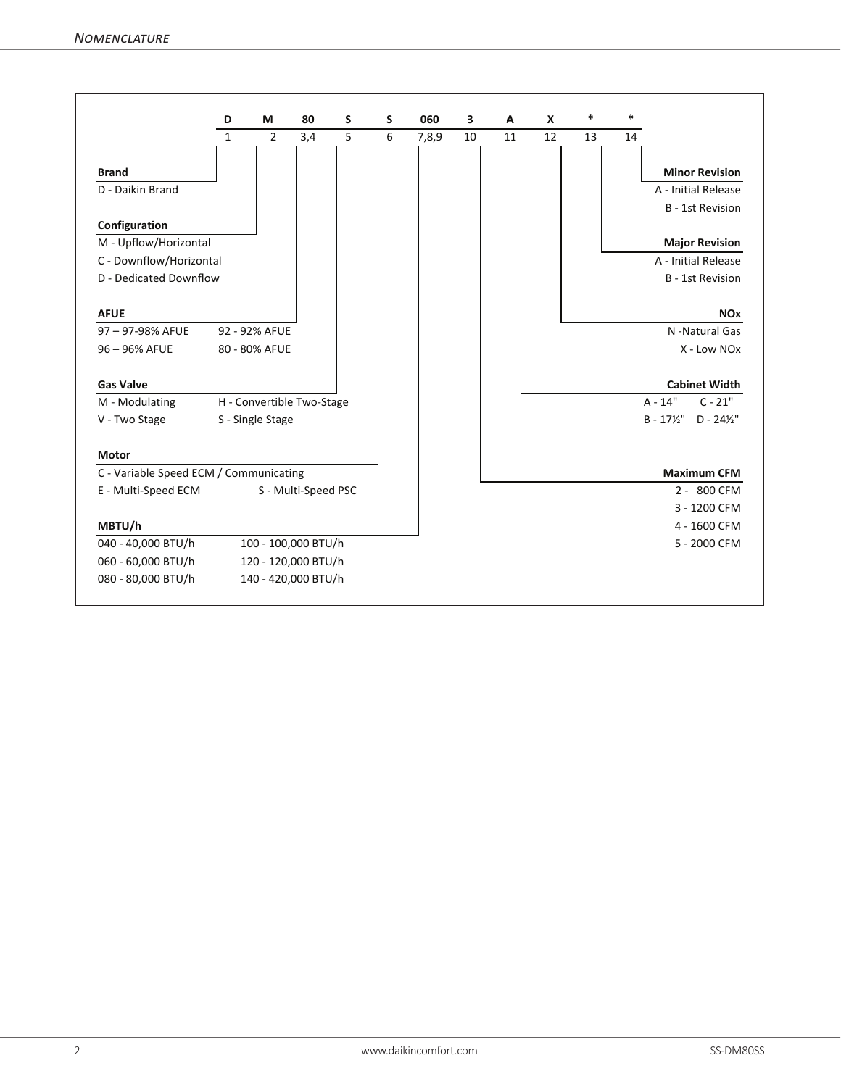|                                        | D            | M                | 80                        | S | S | 060   | 3  | A  | X  | $\ast$ | $\ast$ |                                              |
|----------------------------------------|--------------|------------------|---------------------------|---|---|-------|----|----|----|--------|--------|----------------------------------------------|
|                                        | $\mathbf{1}$ | $\overline{2}$   | 3,4                       | 5 | 6 | 7,8,9 | 10 | 11 | 12 | 13     | 14     |                                              |
| <b>Brand</b>                           |              |                  |                           |   |   |       |    |    |    |        |        | <b>Minor Revision</b>                        |
| D - Daikin Brand                       |              |                  |                           |   |   |       |    |    |    |        |        | A - Initial Release                          |
|                                        |              |                  |                           |   |   |       |    |    |    |        |        |                                              |
| Configuration                          |              |                  |                           |   |   |       |    |    |    |        |        | <b>B</b> - 1st Revision                      |
| M - Upflow/Horizontal                  |              |                  |                           |   |   |       |    |    |    |        |        | <b>Major Revision</b>                        |
| C - Downflow/Horizontal                |              |                  |                           |   |   |       |    |    |    |        |        | A - Initial Release                          |
| D - Dedicated Downflow                 |              |                  |                           |   |   |       |    |    |    |        |        | <b>B</b> - 1st Revision                      |
| <b>AFUE</b>                            |              |                  |                           |   |   |       |    |    |    |        |        | <b>NO<sub>x</sub></b>                        |
| 97-97-98% AFUE                         |              | 92 - 92% AFUE    |                           |   |   |       |    |    |    |        |        | N -Natural Gas                               |
| 96 - 96% AFUE                          |              | 80 - 80% AFUE    |                           |   |   |       |    |    |    |        |        | X - Low NOx                                  |
| <b>Gas Valve</b>                       |              |                  |                           |   |   |       |    |    |    |        |        | <b>Cabinet Width</b>                         |
| M - Modulating                         |              |                  | H - Convertible Two-Stage |   |   |       |    |    |    |        |        | $A - 14"$<br>$C - 21"$                       |
| V - Two Stage                          |              | S - Single Stage |                           |   |   |       |    |    |    |        |        | $B - 17\frac{1}{2}$<br>$D - 24\frac{1}{2}$ " |
| <b>Motor</b>                           |              |                  |                           |   |   |       |    |    |    |        |        |                                              |
| C - Variable Speed ECM / Communicating |              |                  |                           |   |   |       |    |    |    |        |        | <b>Maximum CFM</b>                           |
| E - Multi-Speed ECM                    |              |                  | S - Multi-Speed PSC       |   |   |       |    |    |    |        |        | 2 - 800 CFM                                  |
|                                        |              |                  |                           |   |   |       |    |    |    |        |        | 3 - 1200 CFM                                 |
| MBTU/h                                 |              |                  |                           |   |   |       |    |    |    |        |        | 4 - 1600 CFM                                 |
| 040 - 40,000 BTU/h                     |              |                  | 100 - 100,000 BTU/h       |   |   |       |    |    |    |        |        | 5 - 2000 CFM                                 |
| 060 - 60,000 BTU/h                     |              |                  | 120 - 120,000 BTU/h       |   |   |       |    |    |    |        |        |                                              |
| 080 - 80,000 BTU/h                     |              |                  | 140 - 420,000 BTU/h       |   |   |       |    |    |    |        |        |                                              |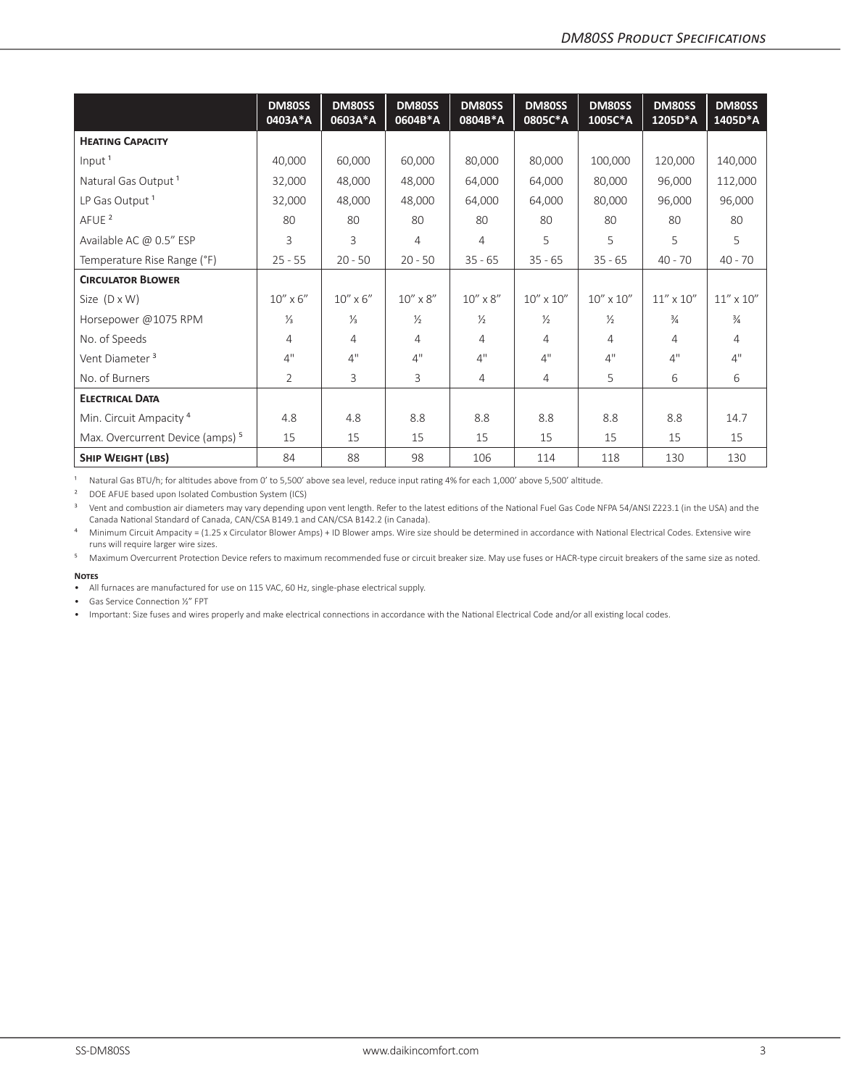|                                             | <b>DM80SS</b><br>0403A*A | <b>DM80SS</b><br>0603A*A | <b>DM80SS</b><br>0604B*A | <b>DM80SS</b><br>0804B*A | <b>DM80SS</b><br>0805C*A | <b>DM80SS</b><br>1005C*A | <b>DM80SS</b><br>1205D*A | DM80SS<br>1405D*A  |
|---------------------------------------------|--------------------------|--------------------------|--------------------------|--------------------------|--------------------------|--------------------------|--------------------------|--------------------|
| <b>HEATING CAPACITY</b>                     |                          |                          |                          |                          |                          |                          |                          |                    |
| Input <sup>1</sup>                          | 40,000                   | 60,000                   | 60,000                   | 80,000                   | 80,000                   | 100,000                  | 120,000                  | 140,000            |
| Natural Gas Output <sup>1</sup>             | 32,000                   | 48,000                   | 48,000                   | 64,000                   | 64,000                   | 80,000                   | 96,000                   | 112,000            |
| LP Gas Output <sup>1</sup>                  | 32,000                   | 48,000                   | 48,000                   | 64,000                   | 64,000                   | 80,000                   | 96,000                   | 96,000             |
| AFUE <sup>2</sup>                           | 80                       | 80                       | 80                       | 80                       | 80                       | 80                       | 80                       | 80                 |
| Available AC @ 0.5" ESP                     | 3                        | 3                        | 4                        | 4                        | 5                        | 5                        | 5                        | 5                  |
| Temperature Rise Range (°F)                 | $25 - 55$                | $20 - 50$                | $20 - 50$                | $35 - 65$                | $35 - 65$                | $35 - 65$                | $40 - 70$                | $40 - 70$          |
| <b>CIRCULATOR BLOWER</b>                    |                          |                          |                          |                          |                          |                          |                          |                    |
| Size $(D \times W)$                         | $10'' \times 6''$        | $10'' \times 6''$        | $10'' \times 8''$        | $10'' \times 8''$        | $10'' \times 10''$       | $10'' \times 10''$       | $11'' \times 10''$       | $11'' \times 10''$ |
| Horsepower @1075 RPM                        | $\frac{1}{3}$            | $\frac{1}{3}$            | $\frac{1}{2}$            | $\frac{1}{2}$            | $\frac{1}{2}$            | $\frac{1}{2}$            | $\frac{3}{4}$            | $\frac{3}{4}$      |
| No. of Speeds                               | $\overline{4}$           | 4                        | 4                        | 4                        | 4                        | 4                        | 4                        | $\overline{4}$     |
| Vent Diameter <sup>3</sup>                  | 4"                       | 4"                       | 4"                       | 4"                       | 4"                       | 4"                       | 4"                       | 4"                 |
| No. of Burners                              | $\overline{2}$           | 3                        | 3                        | 4                        | $\overline{4}$           | 5                        | 6                        | 6                  |
| <b>ELECTRICAL DATA</b>                      |                          |                          |                          |                          |                          |                          |                          |                    |
| Min. Circuit Ampacity <sup>4</sup>          | 4.8                      | 4.8                      | 8.8                      | 8.8                      | 8.8                      | 8.8                      | 8.8                      | 14.7               |
| Max. Overcurrent Device (amps) <sup>5</sup> | 15                       | 15                       | 15                       | 15                       | 15                       | 15                       | 15                       | 15                 |
| <b>SHIP WEIGHT (LBS)</b>                    | 84                       | 88                       | 98                       | 106                      | 114                      | 118                      | 130                      | 130                |

1 Natural Gas BTU/h; for altitudes above from 0' to 5,500' above sea level, reduce input rating 4% for each 1,000' above 5,500' altitude.

² DOE AFUE based upon Isolated Combustion System (ICS)

<sup>3</sup> Vent and combustion air diameters may vary depending upon vent length. Refer to the latest editions of the National Fuel Gas Code NFPA 54/ANSI Z223.1 (in the USA) and the Canada National Standard of Canada, CAN/CSA B149.1 and CAN/CSA B142.2 (in Canada).

<sup>4</sup> Minimum Circuit Ampacity = (1.25 x Circulator Blower Amps) + ID Blower amps. Wire size should be determined in accordance with National Electrical Codes. Extensive wire runs will require larger wire sizes.

⁵ Maximum Overcurrent Protection Device refers to maximum recommended fuse or circuit breaker size. May use fuses or HACR-type circuit breakers of the same size as noted. **Notes**

• All furnaces are manufactured for use on 115 VAC, 60 Hz, single-phase electrical supply.

• Gas Service Connection ½" FPT

• Important: Size fuses and wires properly and make electrical connections in accordance with the National Electrical Code and/or all existing local codes.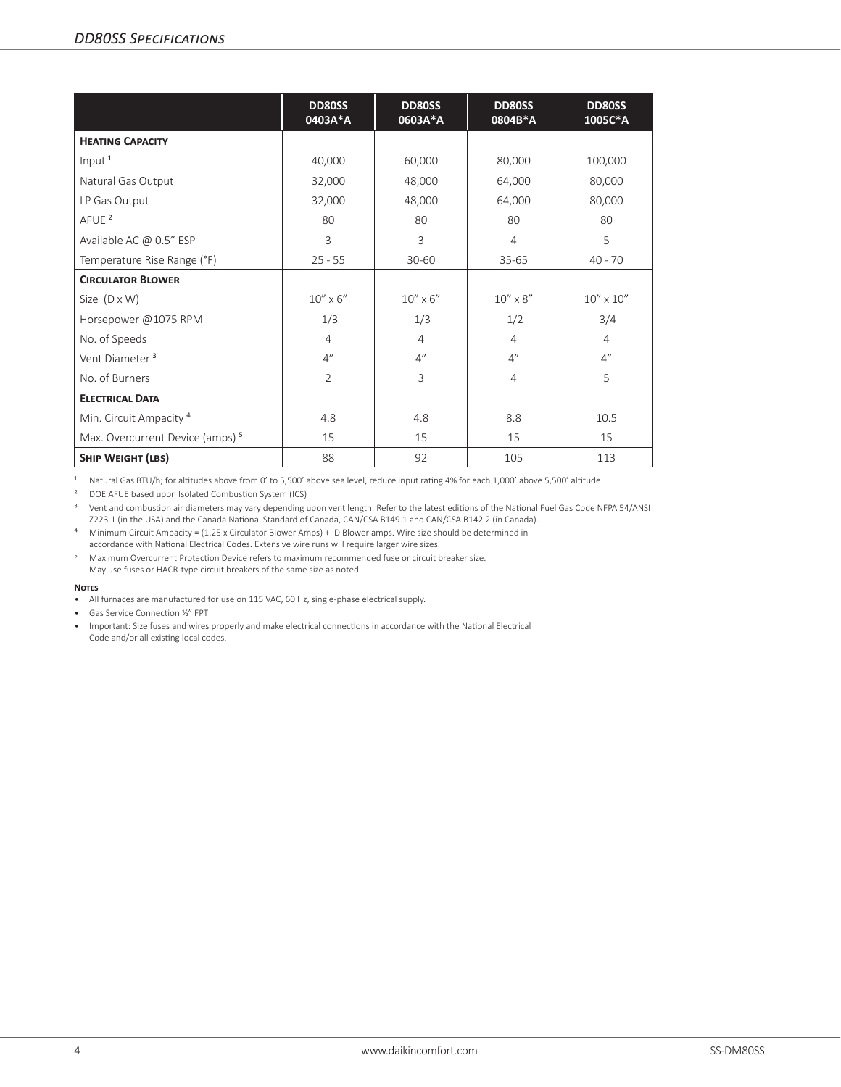|                                             | <b>DD80SS</b><br>0403A*A | <b>DD80SS</b><br>0603A*A | <b>DD80SS</b><br>0804B*A | <b>DD80SS</b><br>1005C*A |
|---------------------------------------------|--------------------------|--------------------------|--------------------------|--------------------------|
| <b>HEATING CAPACITY</b>                     |                          |                          |                          |                          |
| Input <sup>1</sup>                          | 40,000                   | 60,000                   | 80,000                   | 100,000                  |
| Natural Gas Output                          | 32,000                   | 48,000                   | 64,000                   | 80,000                   |
| LP Gas Output                               | 32,000                   | 48,000                   | 64,000                   | 80,000                   |
| AFUE <sup>2</sup>                           | 80                       | 80                       | 80                       | 80                       |
| Available AC @ 0.5" ESP                     | 3                        | 3                        | $\overline{4}$           | 5                        |
| Temperature Rise Range (°F)                 | $25 - 55$                | $30 - 60$                | $35 - 65$                | $40 - 70$                |
| <b>CIRCULATOR BLOWER</b>                    |                          |                          |                          |                          |
| Size $(D \times W)$                         | $10'' \times 6''$        | $10''$ x $6''$           | $10''\times8''$          | $10'' \times 10''$       |
| Horsepower @1075 RPM                        | 1/3                      | 1/3                      | 1/2                      | 3/4                      |
| No. of Speeds                               | $\overline{4}$           | $\overline{4}$           | $\overline{4}$           | $\overline{4}$           |
| Vent Diameter <sup>3</sup>                  | $4^{\prime\prime}$       | 4''                      | $4^{\prime\prime}$       | 4''                      |
| No. of Burners                              | $\overline{2}$           | 3                        | $\overline{4}$           | 5                        |
| <b>ELECTRICAL DATA</b>                      |                          |                          |                          |                          |
| Min. Circuit Ampacity <sup>4</sup>          | 4.8                      | 4.8                      | 8.8                      | 10.5                     |
| Max. Overcurrent Device (amps) <sup>5</sup> | 15                       | 15                       | 15                       | 15                       |
| <b>SHIP WEIGHT (LBS)</b>                    | 88                       | 92                       | 105                      | 113                      |

1 Natural Gas BTU/h; for altitudes above from 0' to 5,500' above sea level, reduce input rating 4% for each 1,000' above 5,500' altitude.

² DOE AFUE based upon Isolated Combustion System (ICS)

<sup>3</sup> Vent and combustion air diameters may vary depending upon vent length. Refer to the latest editions of the National Fuel Gas Code NFPA 54/ANSI Z223.1 (in the USA) and the Canada National Standard of Canada, CAN/CSA B149.1 and CAN/CSA B142.2 (in Canada).

⁴ Minimum Circuit Ampacity = (1.25 x Circulator Blower Amps) + ID Blower amps. Wire size should be determined in accordance with National Electrical Codes. Extensive wire runs will require larger wire sizes.

⁵ Maximum Overcurrent Protection Device refers to maximum recommended fuse or circuit breaker size. May use fuses or HACR-type circuit breakers of the same size as noted.

#### **Notes**

• All furnaces are manufactured for use on 115 VAC, 60 Hz, single-phase electrical supply.

• Gas Service Connection ½" FPT

• Important: Size fuses and wires properly and make electrical connections in accordance with the National Electrical Code and/or all existing local codes.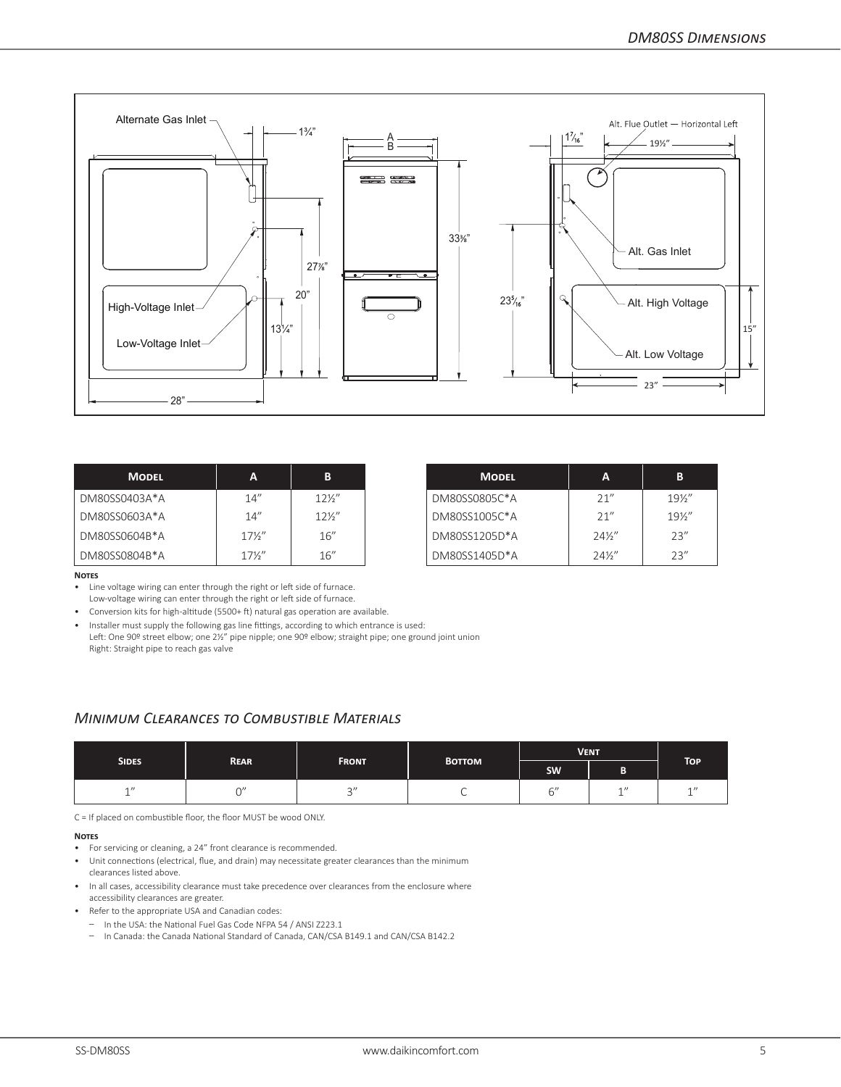

| <b>MODEL</b>  | А               | B               | <b>MODEL</b>  | A               | В               |
|---------------|-----------------|-----------------|---------------|-----------------|-----------------|
| DM80SS0403A*A | 14''            | $12\frac{1}{2}$ | DM80SS0805C*A | 21''            | $19\frac{1}{2}$ |
| DM80SS0603A*A | 14''            | $12\frac{1}{2}$ | DM80SS1005C*A | 21"             | $19\frac{1}{2}$ |
| DM80SS0604B*A | $17\frac{1}{2}$ | 16''            | DM80SS1205D*A | $24\frac{1}{2}$ | 23''            |
| DM80SS0804B*A | $17\frac{1}{2}$ | 16''            | DM80SS1405D*A | $24\frac{1}{2}$ | 23''            |

| MODEL  | A               | в               | <b>MODEL</b>  | A               | B               |
|--------|-----------------|-----------------|---------------|-----------------|-----------------|
| 403A*A | 14''            | $12\frac{1}{2}$ | DM80SS0805C*A | 21''            | $19\frac{1}{2}$ |
| 603A*A | 14''            | $12\frac{1}{2}$ | DM80SS1005C*A | 21''            | $19\%$ "        |
| 604B*A | $17\frac{1}{2}$ | 16''            | DM80SS1205D*A | $24\frac{1}{2}$ | 23''            |
| 804B*A | $17\frac{1}{2}$ | 16''            | DM80SS1405D*A | $24\frac{1}{2}$ | 23''            |

#### **Notes**

• Line voltage wiring can enter through the right or left side of furnace.

Low-voltage wiring can enter through the right or left side of furnace.

• Conversion kits for high-altitude (5500+ ft) natural gas operation are available.

• Installer must supply the following gas line fittings, according to which entrance is used: Left: One 90º street elbow; one 2½" pipe nipple; one 90º elbow; straight pipe; one ground joint union Right: Straight pipe to reach gas valve

### *Minimum Clearances to Combustible Materials*

|                             |              |                |           | <b>VENT</b>              |                  |                       |
|-----------------------------|--------------|----------------|-----------|--------------------------|------------------|-----------------------|
| <b>SIDES</b><br><b>REAR</b> | <b>FRONT</b> | <b>BOTTOM</b>  | <b>SW</b> | г<br>Ð                   | TOP <sup>1</sup> |                       |
| $\sim$ $\prime\prime$       | ~'           | $\bigcap$<br>u | ั         | $\overline{\phantom{a}}$ | 1<br>ᅩ           | $\sim$ $\prime\prime$ |

C = If placed on combustible floor, the floor MUST be wood ONLY.

#### **Notes**

- For servicing or cleaning, a 24" front clearance is recommended.
- Unit connections (electrical, flue, and drain) may necessitate greater clearances than the minimum clearances listed above.
- In all cases, accessibility clearance must take precedence over clearances from the enclosure where accessibility clearances are greater.
- Refer to the appropriate USA and Canadian codes:
	- In the USA: the National Fuel Gas Code NFPA 54 / ANSI Z223.1
	- In Canada: the Canada National Standard of Canada, CAN/CSA B149.1 and CAN/CSA B142.2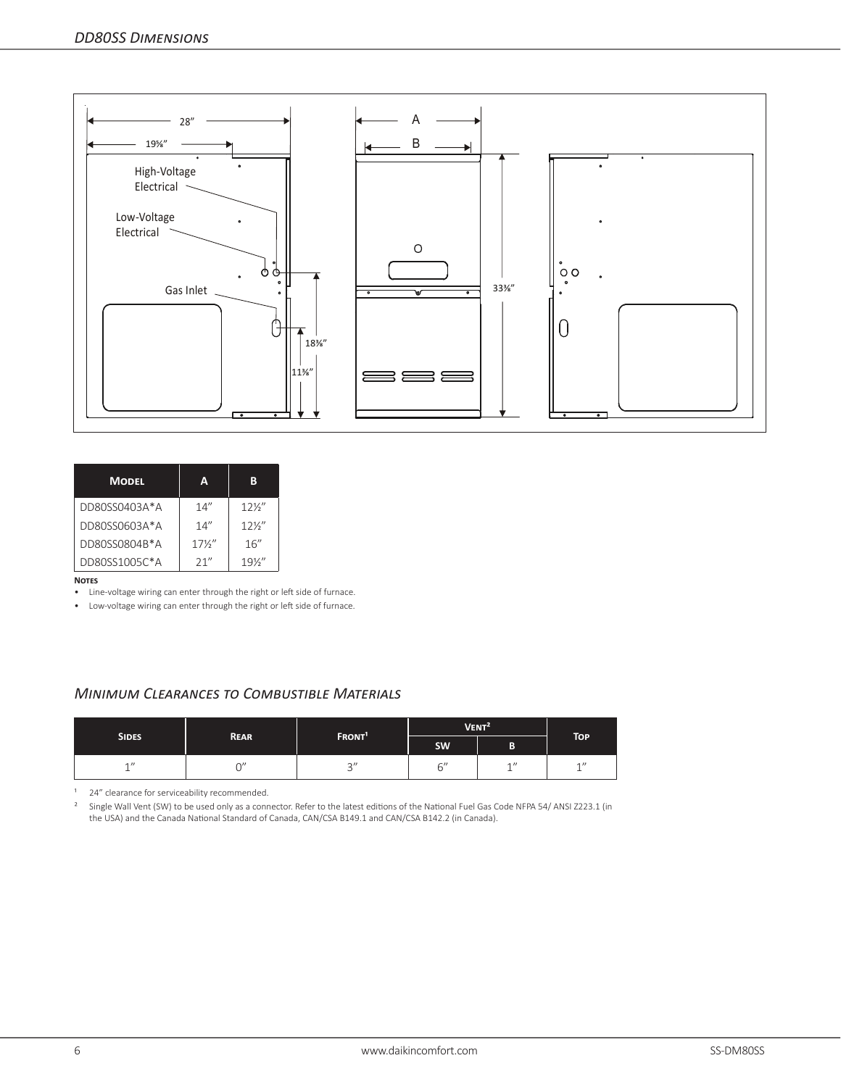

| <b>MODEL</b>  | Δ               | R               |
|---------------|-----------------|-----------------|
| DD80SS0403A*A | 14''            | $12\frac{1}{2}$ |
| DD80SS0603A*A | 14''            | $12\frac{1}{2}$ |
| DD80SS0804B*A | $17\frac{1}{2}$ | 16''            |
| DD80SS1005C*A | 21''            | $19\frac{1}{2}$ |

#### **Notes**

• Line-voltage wiring can enter through the right or left side of furnace.

• Low-voltage wiring can enter through the right or left side of furnace.

### *Minimum Clearances to Combustible Materials*

| <b>SIDES</b> |             |                          | VENT <sup>2</sup> |   |            |
|--------------|-------------|--------------------------|-------------------|---|------------|
|              | <b>REAR</b> | FRONT <sup>1</sup>       | <b>SW</b>         | B | <b>TOP</b> |
| 1            |             | $\sim$ "<br>$\checkmark$ | $\sim$ "<br>U     | 1 | $4$ $1$    |

<sup>1</sup> 24" clearance for serviceability recommended.

<sup>2</sup> Single Wall Vent (SW) to be used only as a connector. Refer to the latest editions of the National Fuel Gas Code NFPA 54/ ANSI Z223.1 (in the USA) and the Canada National Standard of Canada, CAN/CSA B149.1 and CAN/CSA B142.2 (in Canada).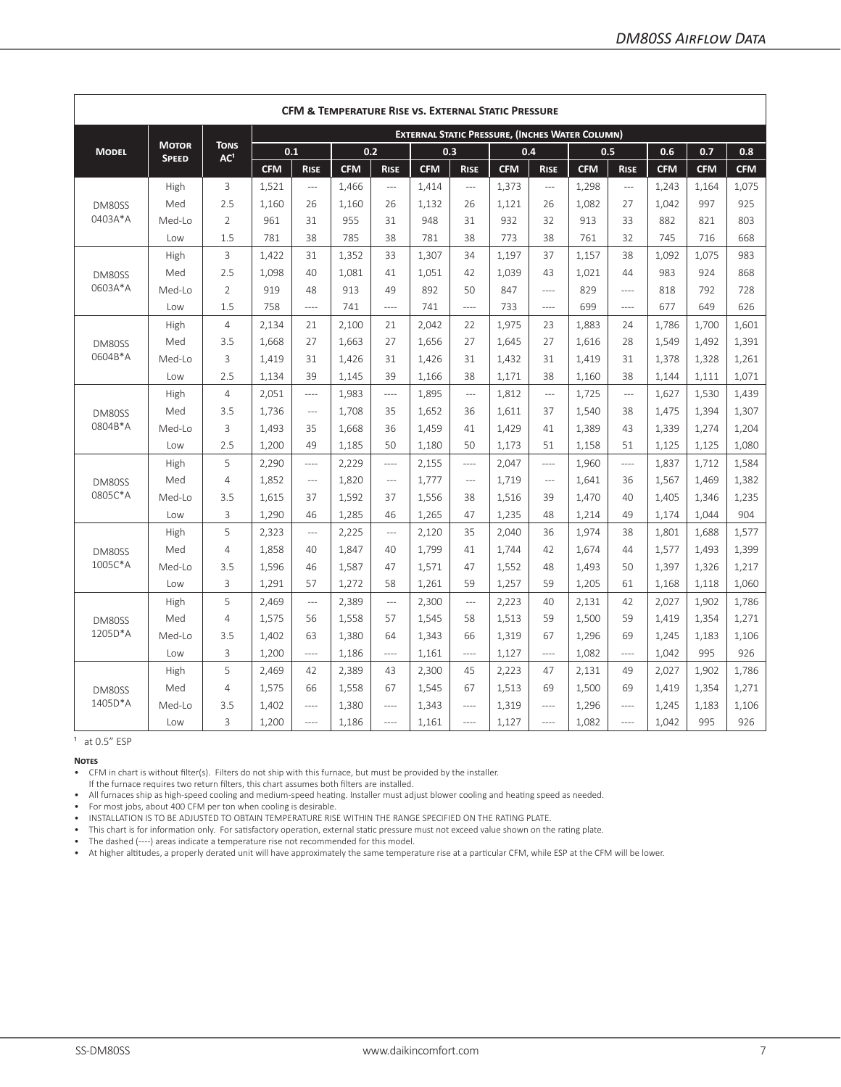|              | CFM & TEMPERATURE RISE VS. EXTERNAL STATIC PRESSURE |                                |            |                |            |                |            |                          |                                                        |                          |            |                          |            |            |            |
|--------------|-----------------------------------------------------|--------------------------------|------------|----------------|------------|----------------|------------|--------------------------|--------------------------------------------------------|--------------------------|------------|--------------------------|------------|------------|------------|
|              |                                                     |                                |            |                |            |                |            |                          | <b>EXTERNAL STATIC PRESSURE, (INCHES WATER COLUMN)</b> |                          |            |                          |            |            |            |
| <b>MODEL</b> | <b>MOTOR</b>                                        | <b>TONS</b><br>AC <sup>1</sup> |            | 0.1            |            | 0.2            | 0.3        |                          |                                                        | 0.4                      |            | 0.5                      | 0.6        | 0.7        | 0.8        |
|              | <b>SPEED</b>                                        |                                | <b>CFM</b> | <b>RISE</b>    | <b>CFM</b> | <b>RISE</b>    | <b>CFM</b> | <b>RISE</b>              | <b>CFM</b>                                             | <b>RISE</b>              | <b>CFM</b> | <b>RISE</b>              | <b>CFM</b> | <b>CFM</b> | <b>CFM</b> |
|              | High                                                | 3                              | 1,521      | $\overline{a}$ | 1,466      | $---$          | 1,414      | $---$                    | 1,373                                                  | $\overline{\phantom{a}}$ | 1,298      | $---$                    | 1,243      | 1,164      | 1,075      |
| DM80SS       | Med                                                 | 2.5                            | 1.160      | 26             | 1.160      | 26             | 1,132      | 26                       | 1,121                                                  | 26                       | 1.082      | 27                       | 1.042      | 997        | 925        |
| 0403A*A      | Med-Lo                                              | $\overline{2}$                 | 961        | 31             | 955        | 31             | 948        | 31                       | 932                                                    | 32                       | 913        | 33                       | 882        | 821        | 803        |
|              | Low                                                 | 1.5                            | 781        | 38             | 785        | 38             | 781        | 38                       | 773                                                    | 38                       | 761        | 32                       | 745        | 716        | 668        |
|              | High                                                | 3                              | 1.422      | 31             | 1,352      | 33             | 1,307      | 34                       | 1.197                                                  | 37                       | 1,157      | 38                       | 1,092      | 1,075      | 983        |
| DM80SS       | Med                                                 | 2.5                            | 1.098      | 40             | 1.081      | 41             | 1,051      | 42                       | 1,039                                                  | 43                       | 1,021      | 44                       | 983        | 924        | 868        |
| 0603A*A      | Med-Lo                                              | $\overline{2}$                 | 919        | 48             | 913        | 49             | 892        | 50                       | 847                                                    | $---$                    | 829        | $\frac{1}{2}$            | 818        | 792        | 728        |
|              | Low                                                 | 1.5                            | 758        | ----           | 741        | ----           | 741        | $---$                    | 733                                                    | ----                     | 699        | $---$                    | 677        | 649        | 626        |
|              | High                                                | $\overline{4}$                 | 2,134      | 21             | 2,100      | 21             | 2,042      | 22                       | 1,975                                                  | 23                       | 1,883      | 24                       | 1,786      | 1,700      | 1,601      |
| DM80SS       | Med                                                 | 3.5                            | 1,668      | 27             | 1,663      | 27             | 1,656      | 27                       | 1,645                                                  | 27                       | 1,616      | 28                       | 1,549      | 1,492      | 1,391      |
| 0604B*A      | Med-Lo                                              | 3                              | 1.419      | 31             | 1,426      | 31             | 1,426      | 31                       | 1,432                                                  | 31                       | 1,419      | 31                       | 1,378      | 1,328      | 1,261      |
|              | Low                                                 | 2.5                            | 1,134      | 39             | 1.145      | 39             | 1,166      | 38                       | 1,171                                                  | 38                       | 1,160      | 38                       | 1,144      | 1,111      | 1,071      |
|              | High                                                | $\overline{4}$                 | 2,051      | ----           | 1,983      | $---$          | 1,895      | $\overline{\phantom{a}}$ | 1,812                                                  | $\overline{\phantom{a}}$ | 1,725      | $\overline{\phantom{a}}$ | 1,627      | 1,530      | 1,439      |
| DM80SS       | Med                                                 | 3.5                            | 1,736      | $\overline{a}$ | 1,708      | 35             | 1,652      | 36                       | 1,611                                                  | 37                       | 1,540      | 38                       | 1,475      | 1,394      | 1,307      |
| 0804B*A      | Med-Lo                                              | 3                              | 1,493      | 35             | 1,668      | 36             | 1,459      | 41                       | 1,429                                                  | 41                       | 1,389      | 43                       | 1,339      | 1,274      | 1,204      |
|              | Low                                                 | 2.5                            | 1,200      | 49             | 1.185      | 50             | 1,180      | 50                       | 1.173                                                  | 51                       | 1,158      | 51                       | 1,125      | 1,125      | 1,080      |
|              | High                                                | 5                              | 2,290      | $\frac{1}{2}$  | 2,229      | $\overline{a}$ | 2,155      | $\frac{1}{2}$            | 2.047                                                  | $---$                    | 1,960      | $\frac{1}{2}$            | 1,837      | 1,712      | 1,584      |
| DM80SS       | Med                                                 | 4                              | 1.852      | $\overline{a}$ | 1,820      | $---$          | 1,777      | $---$                    | 1.719                                                  | $---$                    | 1.641      | 36                       | 1,567      | 1,469      | 1,382      |
| 0805C*A      | Med-Lo                                              | 3.5                            | 1,615      | 37             | 1,592      | 37             | 1,556      | 38                       | 1,516                                                  | 39                       | 1,470      | 40                       | 1,405      | 1,346      | 1,235      |
|              | Low                                                 | 3                              | 1,290      | 46             | 1,285      | 46             | 1,265      | 47                       | 1,235                                                  | 48                       | 1,214      | 49                       | 1,174      | 1,044      | 904        |
|              | High                                                | 5                              | 2,323      | $\overline{a}$ | 2,225      | $---$          | 2,120      | 35                       | 2,040                                                  | 36                       | 1,974      | 38                       | 1,801      | 1,688      | 1,577      |
| DM80SS       | Med                                                 | 4                              | 1.858      | 40             | 1.847      | 40             | 1.799      | 41                       | 1.744                                                  | 42                       | 1.674      | 44                       | 1,577      | 1,493      | 1,399      |
| 1005C*A      | Med-Lo                                              | 3.5                            | 1.596      | 46             | 1.587      | 47             | 1,571      | 47                       | 1.552                                                  | 48                       | 1.493      | 50                       | 1.397      | 1,326      | 1,217      |
|              | Low                                                 | 3                              | 1,291      | 57             | 1,272      | 58             | 1,261      | 59                       | 1,257                                                  | 59                       | 1,205      | 61                       | 1,168      | 1,118      | 1,060      |
|              | High                                                | 5                              | 2,469      | $\overline{a}$ | 2,389      | $---$          | 2,300      | $\overline{a}$           | 2,223                                                  | 40                       | 2,131      | 42                       | 2,027      | 1,902      | 1,786      |
| DM80SS       | Med                                                 | $\overline{4}$                 | 1,575      | 56             | 1,558      | 57             | 1,545      | 58                       | 1,513                                                  | 59                       | 1,500      | 59                       | 1,419      | 1,354      | 1,271      |
| 1205D*A      | Med-Lo                                              | 3.5                            | 1.402      | 63             | 1,380      | 64             | 1,343      | 66                       | 1.319                                                  | 67                       | 1,296      | 69                       | 1,245      | 1,183      | 1,106      |
|              | Low                                                 | 3                              | 1,200      | $- - - -$      | 1,186      | $\overline{a}$ | 1,161      | $---$                    | 1,127                                                  | $\frac{1}{2}$            | 1,082      | $\cdots$                 | 1,042      | 995        | 926        |
|              | High                                                | 5                              | 2,469      | 42             | 2,389      | 43             | 2,300      | 45                       | 2,223                                                  | 47                       | 2,131      | 49                       | 2,027      | 1,902      | 1,786      |
| DM80SS       | Med                                                 | 4                              | 1,575      | 66             | 1,558      | 67             | 1,545      | 67                       | 1,513                                                  | 69                       | 1,500      | 69                       | 1,419      | 1,354      | 1,271      |
| 1405D*A      | Med-Lo                                              | 3.5                            | 1,402      | $---$          | 1,380      | $---$          | 1,343      | $---$                    | 1,319                                                  | $\frac{1}{2}$            | 1,296      | $---$                    | 1,245      | 1,183      | 1,106      |
|              | Low                                                 | 3                              | 1,200      | $---$          | 1,186      | $- - - -$      | 1,161      | $\cdots$                 | 1,127                                                  | $---$                    | 1,082      | $---$                    | 1,042      | 995        | 926        |

 $1$  at 0.5 $''$  ESP

**Notes**

• CFM in chart is without filter(s). Filters do not ship with this furnace, but must be provided by the installer.

If the furnace requires two return filters, this chart assumes both filters are installed.

• All furnaces ship as high-speed cooling and medium-speed heating. Installer must adjust blower cooling and heating speed as needed.

• For most jobs, about 400 CFM per ton when cooling is desirable.

• INSTALLATION IS TO BE ADJUSTED TO OBTAIN TEMPERATURE RISE WITHIN THE RANGE SPECIFIED ON THE RATING PLATE.

• This chart is for information only. For satisfactory operation, external static pressure must not exceed value shown on the rating plate.

• The dashed (----) areas indicate a temperature rise not recommended for this model.

• At higher altitudes, a properly derated unit will have approximately the same temperature rise at a particular CFM, while ESP at the CFM will be lower.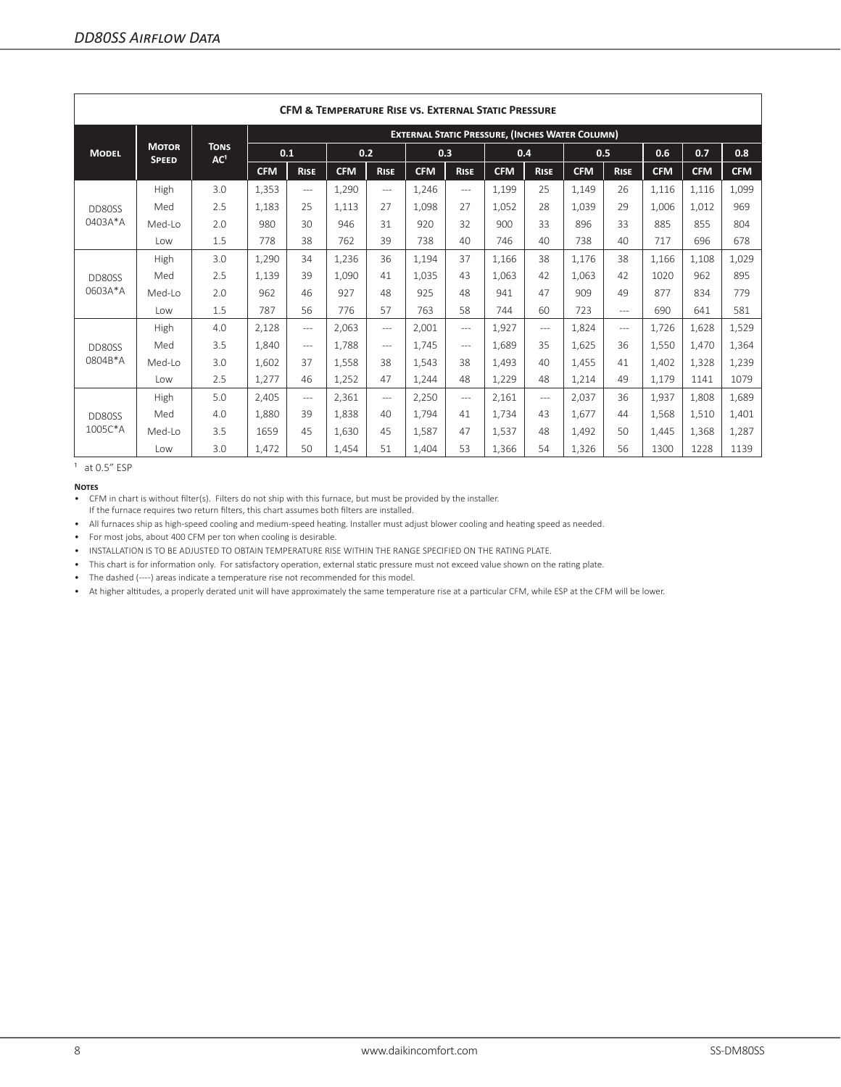|              | <b>CFM &amp; TEMPERATURE RISE VS. EXTERNAL STATIC PRESSURE</b> |                                |                                                        |                |            |             |            |                |            |             |            |             |            |            |            |  |
|--------------|----------------------------------------------------------------|--------------------------------|--------------------------------------------------------|----------------|------------|-------------|------------|----------------|------------|-------------|------------|-------------|------------|------------|------------|--|
|              |                                                                |                                | <b>EXTERNAL STATIC PRESSURE, (INCHES WATER COLUMN)</b> |                |            |             |            |                |            |             |            |             |            |            |            |  |
| <b>MODEL</b> | <b>MOTOR</b><br><b>SPEED</b>                                   | <b>TONS</b><br>AC <sup>1</sup> | 0.1                                                    |                | 0.2        |             | 0.3        |                | 0.4        |             | 0.5        |             | 0.6        | 0.7        | 0.8        |  |
|              |                                                                |                                | <b>CFM</b>                                             | <b>RISE</b>    | <b>CFM</b> | <b>RISE</b> | <b>CFM</b> | <b>RISE</b>    | <b>CFM</b> | <b>RISE</b> | <b>CFM</b> | <b>RISE</b> | <b>CFM</b> | <b>CFM</b> | <b>CFM</b> |  |
|              | High                                                           | 3.0                            | 1.353                                                  | $\cdots$       | 1.290      | $\cdots$    | 1.246      | $\cdots$       | 1,199      | 25          | 1.149      | 26          | 1.116      | 1.116      | 1,099      |  |
| DD80SS       | Med                                                            | 2.5                            | 1.183                                                  | 25             | 1.113      | 27          | 1.098      | 27             | 1,052      | 28          | 1.039      | 29          | 1.006      | 1.012      | 969        |  |
| 0403A*A      | Med-Lo                                                         | 2.0                            | 980                                                    | 30             | 946        | 31          | 920        | 32             | 900        | 33          | 896        | 33          | 885        | 855        | 804        |  |
|              | l ow                                                           | 1.5                            | 778                                                    | 38             | 762        | 39          | 738        | 40             | 746        | 40          | 738        | 40          | 717        | 696        | 678        |  |
|              | High                                                           | 3.0                            | 1,290                                                  | 34             | 1,236      | 36          | 1,194      | 37             | 1,166      | 38          | 1.176      | 38          | 1,166      | 1,108      | 1,029      |  |
| DD80SS       | Med                                                            | 2.5                            | 1.139                                                  | 39             | 1.090      | 41          | 1.035      | 43             | 1.063      | 42          | 1.063      | 42          | 1020       | 962        | 895        |  |
| 0603A*A      | Med-Lo                                                         | 2.0                            | 962                                                    | 46             | 927        | 48          | 925        | 48             | 941        | 47          | 909        | 49          | 877        | 834        | 779        |  |
|              | l ow                                                           | 1.5                            | 787                                                    | 56             | 776        | 57          | 763        | 58             | 744        | 60          | 723        | $---$       | 690        | 641        | 581        |  |
|              | High                                                           | 4.0                            | 2,128                                                  | $\cdots$       | 2.063      | $\cdots$    | 2.001      | $---$          | 1,927      | $---$       | 1.824      | $---$       | 1.726      | 1.628      | 1,529      |  |
| DD80SS       | Med                                                            | 3.5                            | 1.840                                                  | $\cdots$       | 1.788      | $\cdots$    | 1.745      | $\cdots$       | 1.689      | 35          | 1.625      | 36          | 1.550      | 1.470      | 1,364      |  |
| 0804B*A      | Med-Lo                                                         | 3.0                            | 1.602                                                  | 37             | 1.558      | 38          | 1.543      | 38             | 1.493      | 40          | 1.455      | 41          | 1.402      | 1.328      | 1,239      |  |
|              | Low                                                            | 2.5                            | 1.277                                                  | 46             | 1.252      | 47          | 1.244      | 48             | 1,229      | 48          | 1.214      | 49          | 1.179      | 1141       | 1079       |  |
|              | High                                                           | 5.0                            | 2,405                                                  | $-\!-\!$ $\!-$ | 2,361      | $---$       | 2,250      | $-\!-\!$ $\!-$ | 2,161      | $---$       | 2.037      | 36          | 1,937      | 1.808      | 1,689      |  |
| DD80SS       | Med                                                            | 4.0                            | 1,880                                                  | 39             | 1.838      | 40          | 1.794      | 41             | 1,734      | 43          | 1.677      | 44          | 1,568      | 1,510      | 1,401      |  |
| 1005C*A      | Med-Lo                                                         | 3.5                            | 1659                                                   | 45             | 1.630      | 45          | 1.587      | 47             | 1,537      | 48          | 1.492      | 50          | 1.445      | 1.368      | 1,287      |  |
|              | Low                                                            | 3.0                            | 1,472                                                  | 50             | 1.454      | 51          | 1.404      | 53             | 1,366      | 54          | 1,326      | 56          | 1300       | 1228       | 1139       |  |

 $1$  at 0.5 $"$  ESP

**Notes**

• CFM in chart is without filter(s). Filters do not ship with this furnace, but must be provided by the installer. If the furnace requires two return filters, this chart assumes both filters are installed.

• All furnaces ship as high-speed cooling and medium-speed heating. Installer must adjust blower cooling and heating speed as needed.

• For most jobs, about 400 CFM per ton when cooling is desirable.

• INSTALLATION IS TO BE ADJUSTED TO OBTAIN TEMPERATURE RISE WITHIN THE RANGE SPECIFIED ON THE RATING PLATE.

• This chart is for information only. For satisfactory operation, external static pressure must not exceed value shown on the rating plate.

• The dashed (----) areas indicate a temperature rise not recommended for this model.

• At higher altitudes, a properly derated unit will have approximately the same temperature rise at a particular CFM, while ESP at the CFM will be lower.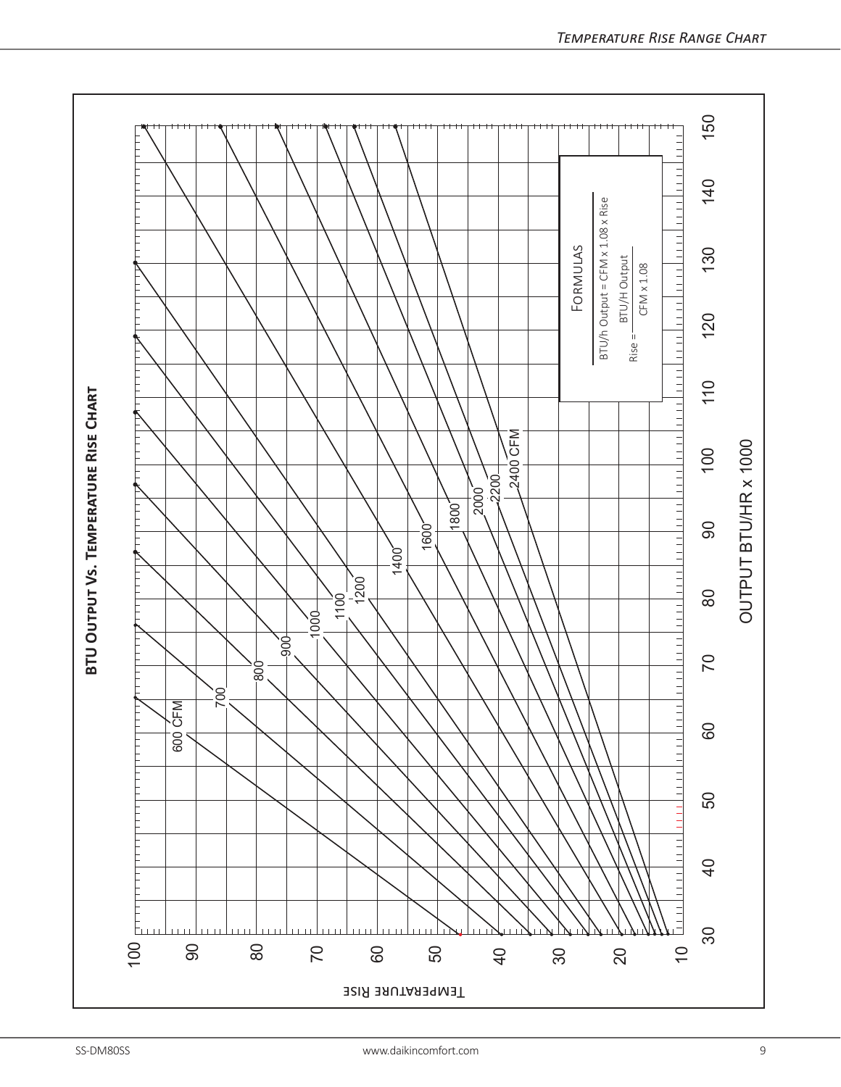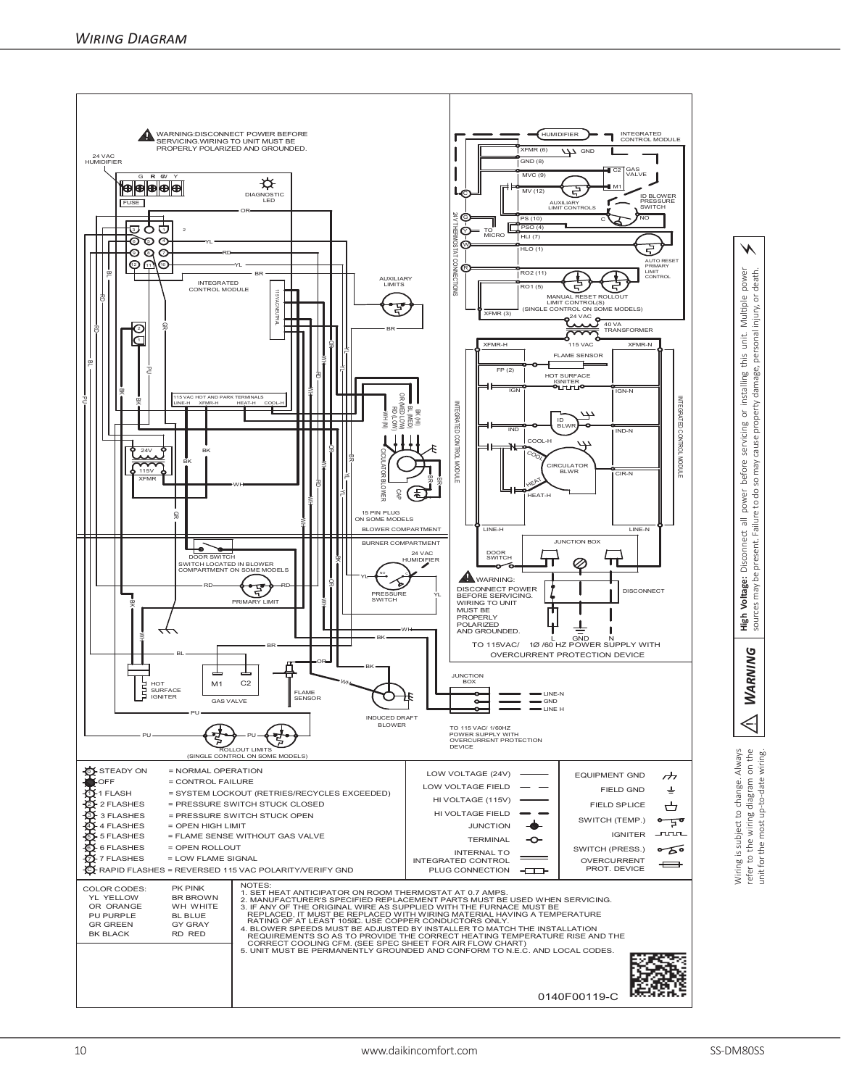

⚡

power<br>death.

injury, or

personal

Wiring is subject to change. Always<br>refer to the wiring diagram on the<br>unit for the most up-to-date wiring. Wiring is subject to change. Always refer to the wiring diagram on the unit for the most up-to-date wiring.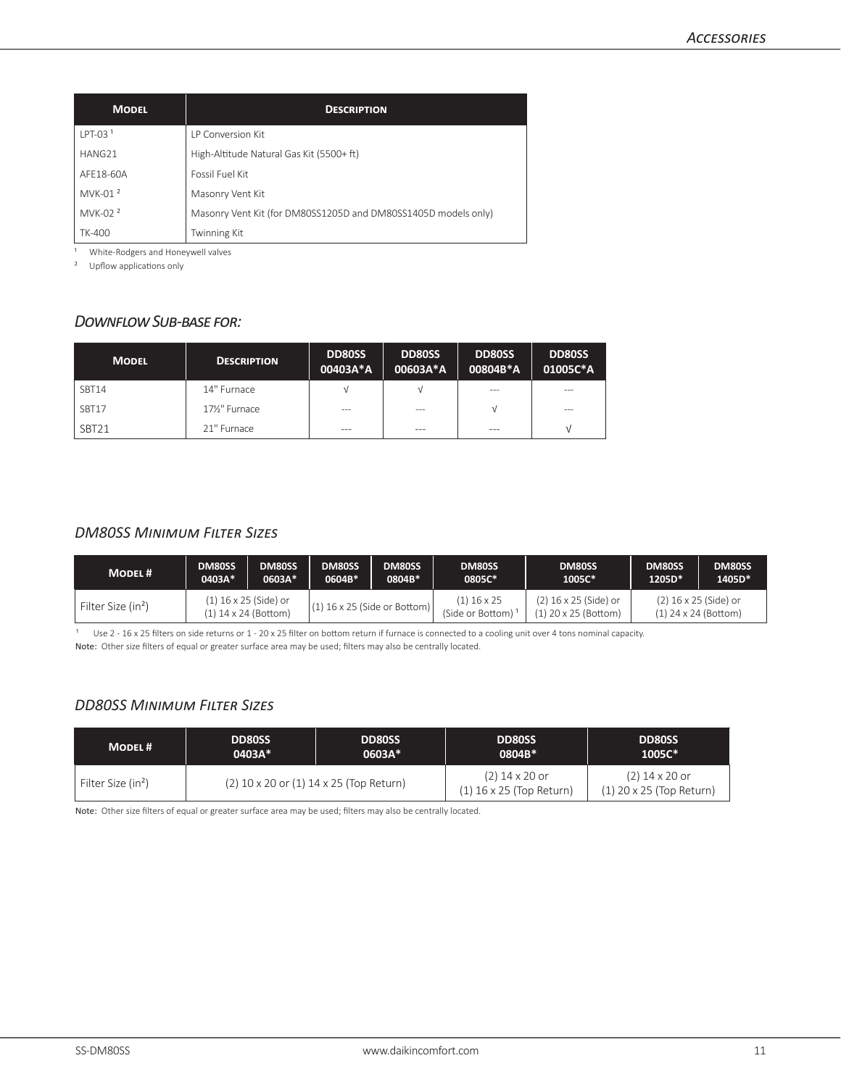| <b>MODEL</b>        | <b>DESCRIPTION</b>                                             |  |  |  |  |  |  |  |
|---------------------|----------------------------------------------------------------|--|--|--|--|--|--|--|
| $LPT-031$           | <b>IP Conversion Kit</b>                                       |  |  |  |  |  |  |  |
| HANG21              | High-Altitude Natural Gas Kit (5500+ ft)                       |  |  |  |  |  |  |  |
| AFF18-60A           | Fossil Fuel Kit                                                |  |  |  |  |  |  |  |
| MVK-01 <sup>2</sup> | Masonry Vent Kit                                               |  |  |  |  |  |  |  |
| MVK-02 <sup>2</sup> | Masonry Vent Kit (for DM80SS1205D and DM80SS1405D models only) |  |  |  |  |  |  |  |
| <b>TK-400</b>       | <b>Twinning Kit</b>                                            |  |  |  |  |  |  |  |

<sup>1</sup> White-Rodgers and Honeywell valves

² Upflow applications only

# *Downflow Sub-base for:*

| <b>MODEL</b>      | <b>DESCRIPTION</b> | <b>DD80SS</b><br>00403A*A | <b>DD80SS</b><br>00603A*A | <b>DD80SS</b><br>00804B*A | <b>DD80SS</b><br>01005C*A |
|-------------------|--------------------|---------------------------|---------------------------|---------------------------|---------------------------|
| SBT14             | 14" Furnace        | ν                         | ν                         | $- - -$                   | ---                       |
| SBT17             | 171/2" Furnace     | $- - -$                   | $- - -$                   |                           | ---                       |
| SBT <sub>21</sub> | 21" Furnace        | $- - -$                   | ---                       | $- - -$                   |                           |

### *DM80SS Minimum Filter Sizes*

| <b>MODEL#</b>                  | DM80SS                                                                            | DM80SS | DM80SS                            | DM80SS                                                                                             | DM80SS | DM80SS | DM80SS | DM80SS |
|--------------------------------|-----------------------------------------------------------------------------------|--------|-----------------------------------|----------------------------------------------------------------------------------------------------|--------|--------|--------|--------|
|                                | 0403A*                                                                            | 0603A* | 0604B*                            | 0804B*                                                                                             | 0805C* | 1005C* | 1205D* | 1405D* |
| Filter Size (in <sup>2</sup> ) | (1) 16 x 25 (Side) or<br>$(1)$ 16 x 25 (Side or Bottom)<br>$(1)$ 14 x 24 (Bottom) |        | $(1)$ 16 x 25<br>(Side or Bottom) | (2) 16 x 25 (Side) or<br>(2) 16 x 25 (Side) or<br>$(1)$ 20 x 25 (Bottom)<br>$(1)$ 24 x 24 (Bottom) |        |        |        |        |

Use 2 - 16 x 25 filters on side returns or 1 - 20 x 25 filter on bottom return if furnace is connected to a cooling unit over 4 tons nominal capacity. Note: Other size filters of equal or greater surface area may be used; filters may also be centrally located.

## *DD80SS Minimum Filter Sizes*

| <b>MODEL#</b>                  | <b>DD80SS</b>                               | <b>DD80SS</b> | <b>DD80SS</b>                                  | <b>DD80SS</b>                                  |
|--------------------------------|---------------------------------------------|---------------|------------------------------------------------|------------------------------------------------|
|                                | $0403A*$                                    | $0603A*$      | 0804B*                                         | $1005C*$                                       |
| Filter Size (in <sup>2</sup> ) | $(2)$ 10 x 20 or $(1)$ 14 x 25 (Top Return) |               | $(2)$ 14 x 20 or<br>$(1)$ 16 x 25 (Top Return) | $(2)$ 14 x 20 or<br>$(1)$ 20 x 25 (Top Return) |

Note: Other size filters of equal or greater surface area may be used; filters may also be centrally located.